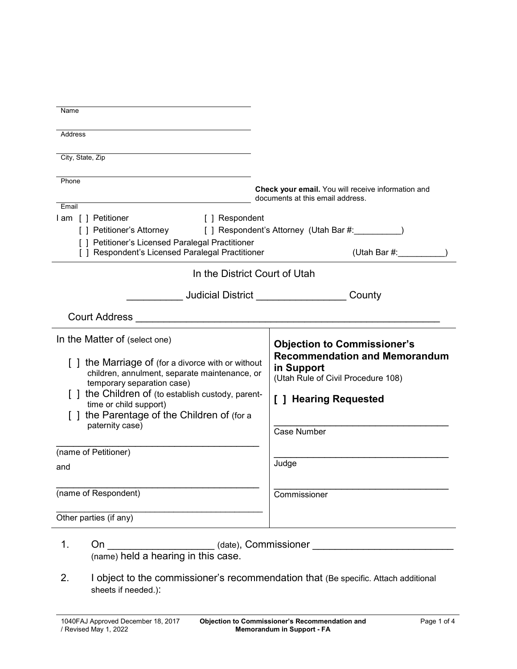| Name                                                                                               |                                                                                        |
|----------------------------------------------------------------------------------------------------|----------------------------------------------------------------------------------------|
| Address                                                                                            |                                                                                        |
| City, State, Zip                                                                                   |                                                                                        |
|                                                                                                    |                                                                                        |
| Phone                                                                                              | Check your email. You will receive information and<br>documents at this email address. |
| Email<br>I am [ ] Petitioner<br>[ ] Respondent                                                     |                                                                                        |
| [ ] Petitioner's Attorney<br>[ ] Petitioner's Licensed Paralegal Practitioner                      |                                                                                        |
| [ ] Respondent's Licensed Paralegal Practitioner                                                   | (Utah Bar $#$ :                                                                        |
| In the District Court of Utah                                                                      |                                                                                        |
| _____________ Judicial District _______________________County                                      |                                                                                        |
| <b>Court Address</b>                                                                               |                                                                                        |
| In the Matter of (select one)                                                                      | <b>Objection to Commissioner's</b>                                                     |
| [] the Marriage of (for a divorce with or without<br>children, annulment, separate maintenance, or | <b>Recommendation and Memorandum</b><br>in Support                                     |
| temporary separation case)                                                                         | (Utah Rule of Civil Procedure 108)                                                     |
| the Children of (to establish custody, parent-<br>time or child support)                           | [ ] Hearing Requested                                                                  |
| the Parentage of the Children of (for a                                                            |                                                                                        |
| paternity case)                                                                                    | Case Number                                                                            |
| (name of Petitioner)                                                                               |                                                                                        |
| and                                                                                                | Judge                                                                                  |
| (name of Respondent)                                                                               | Commissioner                                                                           |
| Other parties (if any)                                                                             |                                                                                        |
| 1.<br>On                                                                                           | (date), Commissioner                                                                   |

- (name) held a hearing in this case.
- 2. I object to the commissioner's recommendation that (Be specific. Attach additional sheets if needed.):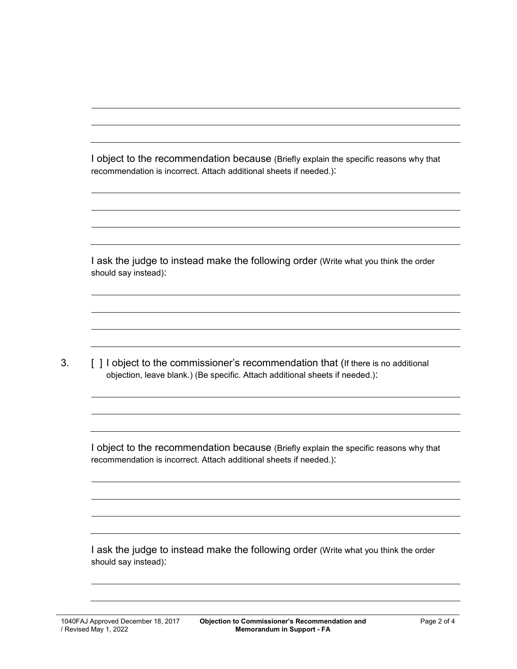I object to the recommendation because (Briefly explain the specific reasons why that recommendation is incorrect. Attach additional sheets if needed.):

I ask the judge to instead make the following order (Write what you think the order should say instead):

3. [ ] I object to the commissioner's recommendation that (If there is no additional objection, leave blank.) (Be specific. Attach additional sheets if needed.):

I object to the recommendation because (Briefly explain the specific reasons why that recommendation is incorrect. Attach additional sheets if needed.):

I ask the judge to instead make the following order (Write what you think the order should say instead):

1040FAJ Approved December 18, 2017 / Revised May 1, 2022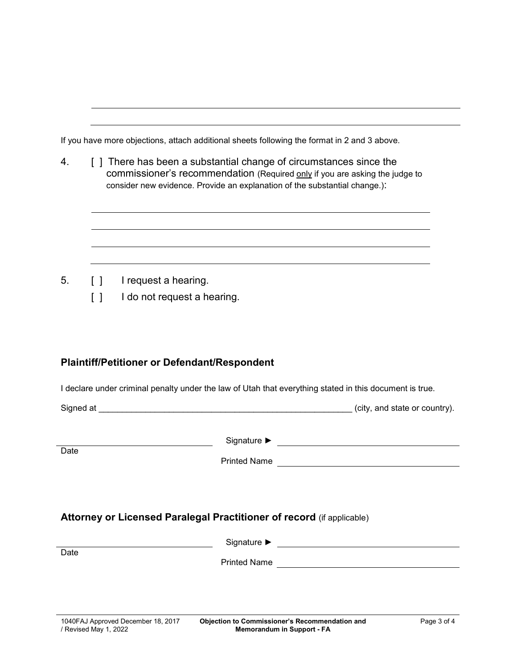If you have more objections, attach additional sheets following the format in 2 and 3 above.

4. [ ] There has been a substantial change of circumstances since the commissioner's recommendation (Required only if you are asking the judge to consider new evidence. Provide an explanation of the substantial change.):

- 5. [ ] I request a hearing.
	- [ ] I do not request a hearing.

## **Plaintiff/Petitioner or Defendant/Respondent**

I declare under criminal penalty under the law of Utah that everything stated in this document is true.

|      |                                                                       | (city, and state or country). |
|------|-----------------------------------------------------------------------|-------------------------------|
| Date |                                                                       |                               |
|      | Attorney or Licensed Paralegal Practitioner of record (if applicable) |                               |
| Date |                                                                       |                               |
|      |                                                                       |                               |